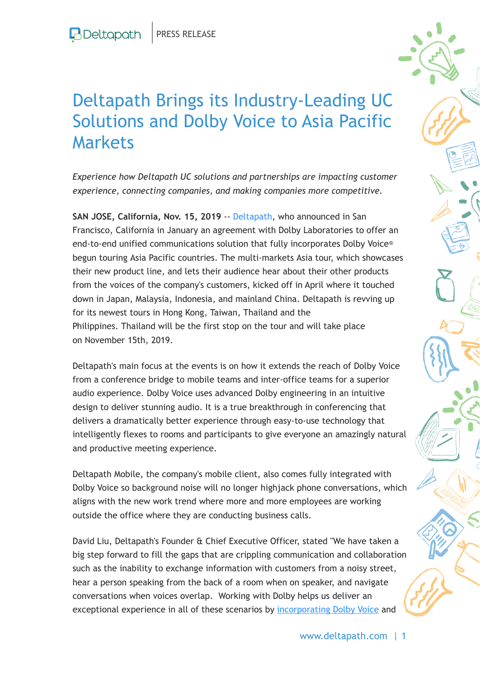## Deltapath Brings its Industry-Leading UC Solutions and Dolby Voice to Asia Pacific Markets

*Experience how Deltapath UC solutions and partnerships are impacting customer experience, connecting companies, and making companies more competitive.*

**SAN JOSE, California, Nov. 15, 2019** -- Deltapath, who announced in San Francisco, California in January an agreement with Dolby Laboratories to offer an end-to-end unified communications solution that fully incorporates Dolby Voice® begun touring Asia Pacific countries. The multi-markets Asia tour, which showcases their new product line, and lets their audience hear about their other products from the voices of the company's customers, kicked off in April where it touched down in Japan, Malaysia, Indonesia, and mainland China. Deltapath is revving up for its newest tours in Hong Kong, Taiwan, Thailand and the Philippines. Thailand will be the first stop on the tour and will take place on November 15th, 2019.

Deltapath's main focus at the events is on how it extends the reach of Dolby Voice from a conference bridge to mobile teams and inter-office teams for a superior audio experience. Dolby Voice uses advanced Dolby engineering in an intuitive design to deliver stunning audio. It is a true breakthrough in conferencing that delivers a dramatically better experience through easy-to-use technology that intelligently flexes to rooms and participants to give everyone an amazingly natural and productive meeting experience.

Deltapath Mobile, the company's mobile client, also comes fully integrated with Dolby Voice so background noise will no longer highjack phone conversations, which aligns with the new work trend where more and more employees are working outside the office where they are conducting business calls.

David Liu, Deltapath's Founder & Chief Executive Officer, stated "We have taken a big step forward to fill the gaps that are crippling communication and collaboration such as the inability to exchange information with customers from a noisy street, hear a person speaking from the back of a room when on speaker, and navigate conversations when voices overlap. Working with Dolby helps us deliver an exceptional experience in all of these scenarios by [incorporating Dolby Voice](https://c212.net/c/link/?t=0&l=en&o=2643795-1&h=2333228893&u=https%3A%2F%2Fwww.deltapath.com%2Fproducts%2Fdeltapath-with-dolby-voice&a=incorporating+Dolby+Voice) and